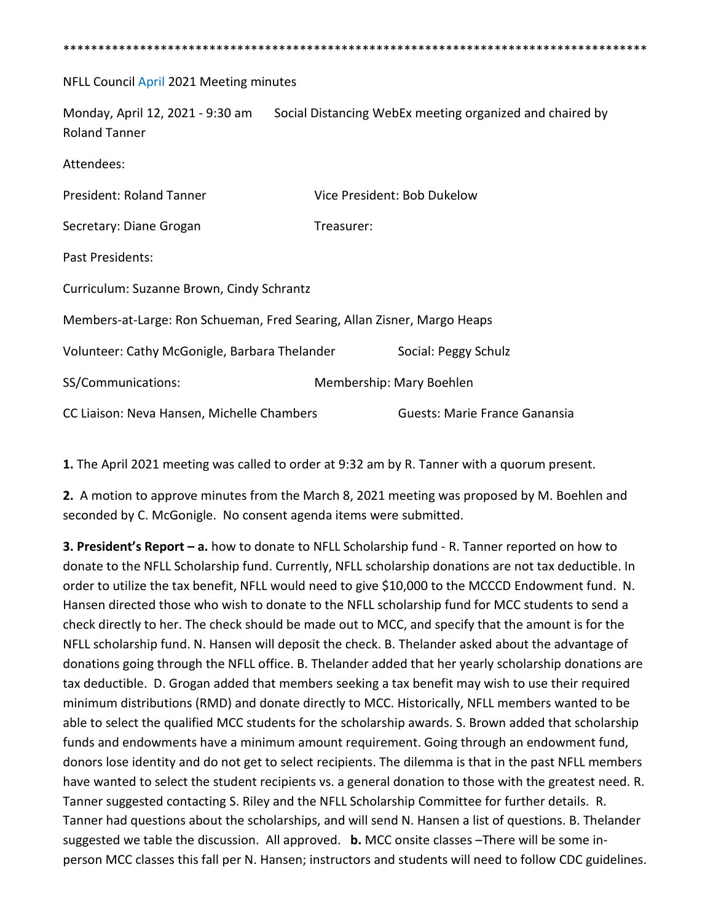\*\*\*\*\*\*\*\*\*\*\*\*\*\*\*\*\*\*\*\*\*\*\*\*\*\*\*\*\*\*\*\*\*\*\*\*\*\*\*\*\*\*\*\*\*\*\*\*\*\*\*\*\*\*\*\*\*\*\*\*\*\*\*\*\*\*\*\*\*\*\*\*\*\*\*\*\*\*\*\*\*\*\*\* NFLL Council April 2021 Meeting minutes Monday, April 12, 2021 - 9:30 am Social Distancing WebEx meeting organized and chaired by Roland Tanner Attendees: President: Roland Tanner Vice President: Bob Dukelow Secretary: Diane Grogan Treasurer: Past Presidents: Curriculum: Suzanne Brown, Cindy Schrantz Members-at-Large: Ron Schueman, Fred Searing, Allan Zisner, Margo Heaps Volunteer: Cathy McGonigle, Barbara Thelander Social: Peggy Schulz SS/Communications: Membership: Mary Boehlen CC Liaison: Neva Hansen, Michelle Chambers Guests: Marie France Ganansia

**1.** The April 2021 meeting was called to order at 9:32 am by R. Tanner with a quorum present.

**2.** A motion to approve minutes from the March 8, 2021 meeting was proposed by M. Boehlen and seconded by C. McGonigle. No consent agenda items were submitted.

**3. President's Report – a.** how to donate to NFLL Scholarship fund - R. Tanner reported on how to donate to the NFLL Scholarship fund. Currently, NFLL scholarship donations are not tax deductible. In order to utilize the tax benefit, NFLL would need to give \$10,000 to the MCCCD Endowment fund. N. Hansen directed those who wish to donate to the NFLL scholarship fund for MCC students to send a check directly to her. The check should be made out to MCC, and specify that the amount is for the NFLL scholarship fund. N. Hansen will deposit the check. B. Thelander asked about the advantage of donations going through the NFLL office. B. Thelander added that her yearly scholarship donations are tax deductible. D. Grogan added that members seeking a tax benefit may wish to use their required minimum distributions (RMD) and donate directly to MCC. Historically, NFLL members wanted to be able to select the qualified MCC students for the scholarship awards. S. Brown added that scholarship funds and endowments have a minimum amount requirement. Going through an endowment fund, donors lose identity and do not get to select recipients. The dilemma is that in the past NFLL members have wanted to select the student recipients vs. a general donation to those with the greatest need. R. Tanner suggested contacting S. Riley and the NFLL Scholarship Committee for further details. R. Tanner had questions about the scholarships, and will send N. Hansen a list of questions. B. Thelander suggested we table the discussion. All approved. **b.** MCC onsite classes –There will be some inperson MCC classes this fall per N. Hansen; instructors and students will need to follow CDC guidelines.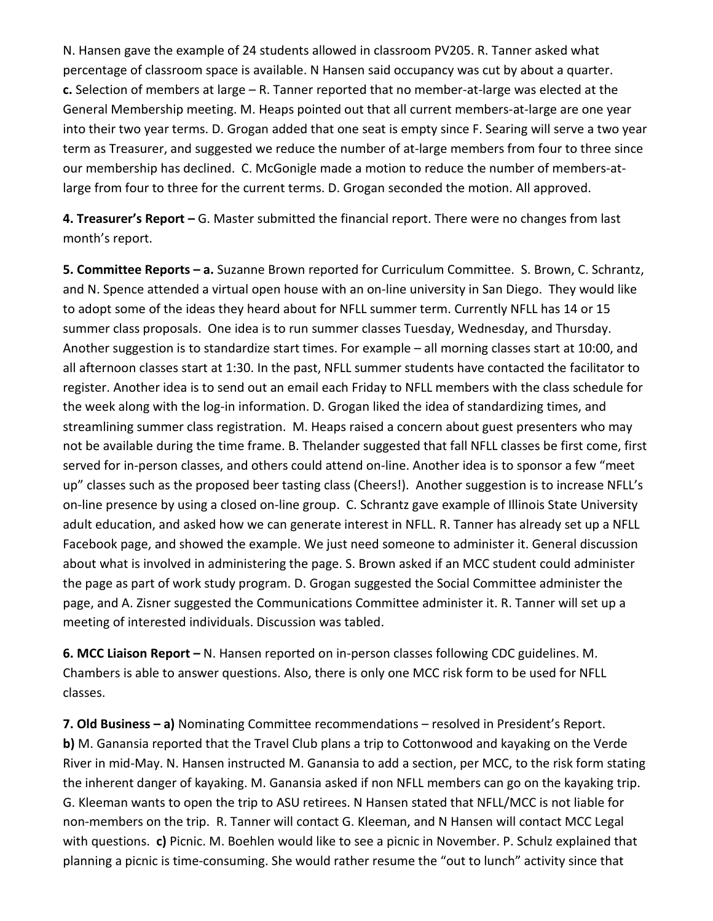N. Hansen gave the example of 24 students allowed in classroom PV205. R. Tanner asked what percentage of classroom space is available. N Hansen said occupancy was cut by about a quarter. **c.** Selection of members at large – R. Tanner reported that no member-at-large was elected at the General Membership meeting. M. Heaps pointed out that all current members-at-large are one year into their two year terms. D. Grogan added that one seat is empty since F. Searing will serve a two year term as Treasurer, and suggested we reduce the number of at-large members from four to three since our membership has declined. C. McGonigle made a motion to reduce the number of members-atlarge from four to three for the current terms. D. Grogan seconded the motion. All approved.

**4. Treasurer's Report –** G. Master submitted the financial report. There were no changes from last month's report.

**5. Committee Reports – a.** Suzanne Brown reported for Curriculum Committee. S. Brown, C. Schrantz, and N. Spence attended a virtual open house with an on-line university in San Diego. They would like to adopt some of the ideas they heard about for NFLL summer term. Currently NFLL has 14 or 15 summer class proposals. One idea is to run summer classes Tuesday, Wednesday, and Thursday. Another suggestion is to standardize start times. For example – all morning classes start at 10:00, and all afternoon classes start at 1:30. In the past, NFLL summer students have contacted the facilitator to register. Another idea is to send out an email each Friday to NFLL members with the class schedule for the week along with the log-in information. D. Grogan liked the idea of standardizing times, and streamlining summer class registration. M. Heaps raised a concern about guest presenters who may not be available during the time frame. B. Thelander suggested that fall NFLL classes be first come, first served for in-person classes, and others could attend on-line. Another idea is to sponsor a few "meet up" classes such as the proposed beer tasting class (Cheers!). Another suggestion is to increase NFLL's on-line presence by using a closed on-line group. C. Schrantz gave example of Illinois State University adult education, and asked how we can generate interest in NFLL. R. Tanner has already set up a NFLL Facebook page, and showed the example. We just need someone to administer it. General discussion about what is involved in administering the page. S. Brown asked if an MCC student could administer the page as part of work study program. D. Grogan suggested the Social Committee administer the page, and A. Zisner suggested the Communications Committee administer it. R. Tanner will set up a meeting of interested individuals. Discussion was tabled.

**6. MCC Liaison Report –** N. Hansen reported on in-person classes following CDC guidelines. M. Chambers is able to answer questions. Also, there is only one MCC risk form to be used for NFLL classes.

**7. Old Business – a)** Nominating Committee recommendations – resolved in President's Report. **b)** M. Ganansia reported that the Travel Club plans a trip to Cottonwood and kayaking on the Verde River in mid-May. N. Hansen instructed M. Ganansia to add a section, per MCC, to the risk form stating the inherent danger of kayaking. M. Ganansia asked if non NFLL members can go on the kayaking trip. G. Kleeman wants to open the trip to ASU retirees. N Hansen stated that NFLL/MCC is not liable for non-members on the trip. R. Tanner will contact G. Kleeman, and N Hansen will contact MCC Legal with questions. **c)** Picnic. M. Boehlen would like to see a picnic in November. P. Schulz explained that planning a picnic is time-consuming. She would rather resume the "out to lunch" activity since that